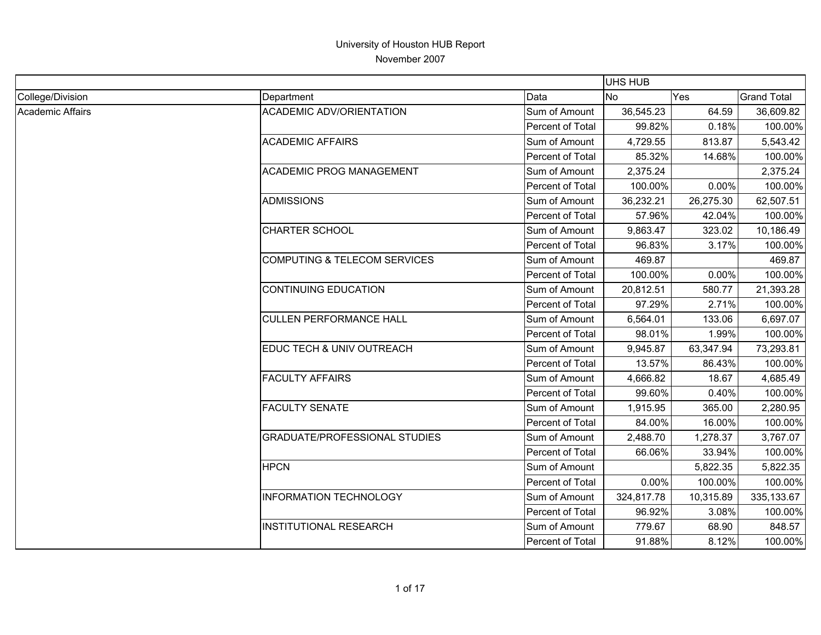|                         |                                         |                         | <b>UHS HUB</b> |           |                    |
|-------------------------|-----------------------------------------|-------------------------|----------------|-----------|--------------------|
| College/Division        | Department                              | Data                    | No             | Yes       | <b>Grand Total</b> |
| <b>Academic Affairs</b> | <b>ACADEMIC ADV/ORIENTATION</b>         | Sum of Amount           | 36,545.23      | 64.59     | 36,609.82          |
|                         |                                         | <b>Percent of Total</b> | 99.82%         | 0.18%     | 100.00%            |
|                         | <b>ACADEMIC AFFAIRS</b>                 | Sum of Amount           | 4,729.55       | 813.87    | 5,543.42           |
|                         |                                         | Percent of Total        | 85.32%         | 14.68%    | 100.00%            |
|                         | <b>ACADEMIC PROG MANAGEMENT</b>         | Sum of Amount           | 2,375.24       |           | 2,375.24           |
|                         |                                         | <b>Percent of Total</b> | 100.00%        | 0.00%     | 100.00%            |
|                         | <b>ADMISSIONS</b>                       | Sum of Amount           | 36,232.21      | 26,275.30 | 62,507.51          |
|                         |                                         | Percent of Total        | 57.96%         | 42.04%    | 100.00%            |
|                         | <b>CHARTER SCHOOL</b>                   | Sum of Amount           | 9,863.47       | 323.02    | 10,186.49          |
|                         |                                         | Percent of Total        | 96.83%         | 3.17%     | 100.00%            |
|                         | <b>COMPUTING &amp; TELECOM SERVICES</b> | Sum of Amount           | 469.87         |           | 469.87             |
|                         |                                         | Percent of Total        | 100.00%        | 0.00%     | 100.00%            |
|                         | <b>CONTINUING EDUCATION</b>             | Sum of Amount           | 20,812.51      | 580.77    | 21,393.28          |
|                         |                                         | Percent of Total        | 97.29%         | 2.71%     | 100.00%            |
|                         | <b>CULLEN PERFORMANCE HALL</b>          | Sum of Amount           | 6,564.01       | 133.06    | 6,697.07           |
|                         |                                         | Percent of Total        | 98.01%         | 1.99%     | 100.00%            |
|                         | EDUC TECH & UNIV OUTREACH               | Sum of Amount           | 9,945.87       | 63,347.94 | 73,293.81          |
|                         |                                         | Percent of Total        | 13.57%         | 86.43%    | 100.00%            |
|                         | <b>FACULTY AFFAIRS</b>                  | Sum of Amount           | 4,666.82       | 18.67     | 4,685.49           |
|                         |                                         | Percent of Total        | 99.60%         | 0.40%     | 100.00%            |
|                         | <b>FACULTY SENATE</b>                   | Sum of Amount           | 1,915.95       | 365.00    | 2,280.95           |
|                         |                                         | Percent of Total        | 84.00%         | 16.00%    | 100.00%            |
|                         | <b>GRADUATE/PROFESSIONAL STUDIES</b>    | Sum of Amount           | 2,488.70       | 1,278.37  | 3,767.07           |
|                         |                                         | <b>Percent of Total</b> | 66.06%         | 33.94%    | 100.00%            |
|                         | <b>HPCN</b>                             | Sum of Amount           |                | 5,822.35  | 5,822.35           |
|                         |                                         | Percent of Total        | 0.00%          | 100.00%   | 100.00%            |
|                         | <b>INFORMATION TECHNOLOGY</b>           | Sum of Amount           | 324,817.78     | 10,315.89 | 335, 133.67        |
|                         |                                         | Percent of Total        | 96.92%         | 3.08%     | 100.00%            |
|                         | <b>INSTITUTIONAL RESEARCH</b>           | Sum of Amount           | 779.67         | 68.90     | 848.57             |
|                         |                                         | Percent of Total        | 91.88%         | 8.12%     | 100.00%            |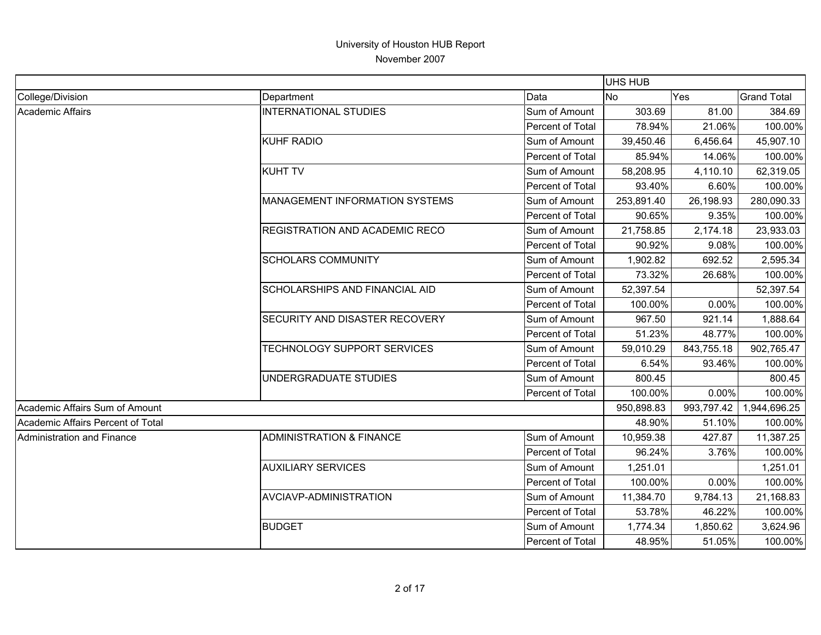|                                   |                                       |                  | UHS HUB    |            |                    |
|-----------------------------------|---------------------------------------|------------------|------------|------------|--------------------|
| College/Division                  | Department                            | Data             | <b>No</b>  | Yes        | <b>Grand Total</b> |
| <b>Academic Affairs</b>           | <b>INTERNATIONAL STUDIES</b>          | Sum of Amount    | 303.69     | 81.00      | 384.69             |
|                                   |                                       | Percent of Total | 78.94%     | 21.06%     | 100.00%            |
|                                   | <b>KUHF RADIO</b>                     | Sum of Amount    | 39,450.46  | 6,456.64   | 45,907.10          |
|                                   |                                       | Percent of Total | 85.94%     | 14.06%     | 100.00%            |
|                                   | <b>KUHT TV</b>                        | Sum of Amount    | 58,208.95  | 4,110.10   | 62,319.05          |
|                                   |                                       | Percent of Total | 93.40%     | 6.60%      | 100.00%            |
|                                   | <b>MANAGEMENT INFORMATION SYSTEMS</b> | Sum of Amount    | 253,891.40 | 26,198.93  | 280,090.33         |
|                                   |                                       | Percent of Total | 90.65%     | 9.35%      | 100.00%            |
|                                   | <b>REGISTRATION AND ACADEMIC RECO</b> | Sum of Amount    | 21,758.85  | 2,174.18   | 23,933.03          |
|                                   |                                       | Percent of Total | 90.92%     | 9.08%      | 100.00%            |
|                                   | <b>SCHOLARS COMMUNITY</b>             | Sum of Amount    | 1,902.82   | 692.52     | 2,595.34           |
|                                   |                                       | Percent of Total | 73.32%     | 26.68%     | 100.00%            |
|                                   | <b>SCHOLARSHIPS AND FINANCIAL AID</b> | Sum of Amount    | 52,397.54  |            | 52,397.54          |
|                                   |                                       | Percent of Total | 100.00%    | 0.00%      | 100.00%            |
|                                   | <b>SECURITY AND DISASTER RECOVERY</b> | Sum of Amount    | 967.50     | 921.14     | 1,888.64           |
|                                   |                                       | Percent of Total | 51.23%     | 48.77%     | 100.00%            |
|                                   | TECHNOLOGY SUPPORT SERVICES           | Sum of Amount    | 59,010.29  | 843,755.18 | 902,765.47         |
|                                   |                                       | Percent of Total | 6.54%      | 93.46%     | 100.00%            |
|                                   | UNDERGRADUATE STUDIES                 | Sum of Amount    | 800.45     |            | 800.45             |
|                                   |                                       | Percent of Total | 100.00%    | 0.00%      | 100.00%            |
| Academic Affairs Sum of Amount    |                                       |                  | 950,898.83 | 993,797.42 | 1,944,696.25       |
| Academic Affairs Percent of Total |                                       |                  | 48.90%     | 51.10%     | 100.00%            |
| Administration and Finance        | <b>ADMINISTRATION &amp; FINANCE</b>   | Sum of Amount    | 10,959.38  | 427.87     | 11,387.25          |
|                                   |                                       | Percent of Total | 96.24%     | 3.76%      | 100.00%            |
|                                   | <b>AUXILIARY SERVICES</b>             | Sum of Amount    | 1,251.01   |            | 1,251.01           |
|                                   |                                       | Percent of Total | 100.00%    | 0.00%      | 100.00%            |
|                                   | AVCIAVP-ADMINISTRATION                | Sum of Amount    | 11,384.70  | 9,784.13   | 21,168.83          |
|                                   |                                       | Percent of Total | 53.78%     | 46.22%     | 100.00%            |
|                                   | <b>BUDGET</b>                         | Sum of Amount    | 1,774.34   | 1,850.62   | 3,624.96           |
|                                   |                                       | Percent of Total | 48.95%     | 51.05%     | 100.00%            |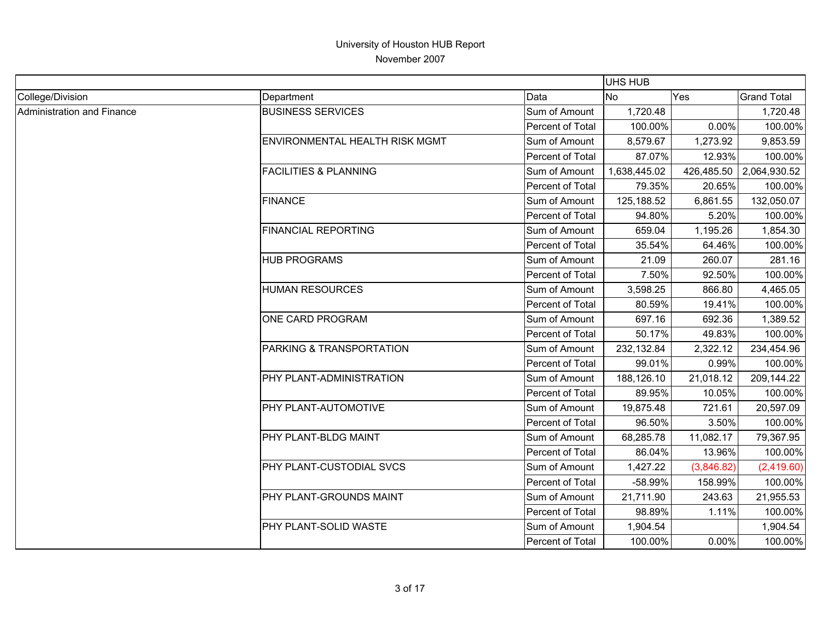|                            |                                       |                         | UHS HUB      |            |                    |
|----------------------------|---------------------------------------|-------------------------|--------------|------------|--------------------|
| College/Division           | Department                            | Data                    | No.          | Yes        | <b>Grand Total</b> |
| Administration and Finance | <b>BUSINESS SERVICES</b>              | Sum of Amount           | 1,720.48     |            | 1,720.48           |
|                            |                                       | Percent of Total        | 100.00%      | 0.00%      | 100.00%            |
|                            | <b>ENVIRONMENTAL HEALTH RISK MGMT</b> | Sum of Amount           | 8,579.67     | 1,273.92   | 9,853.59           |
|                            |                                       | Percent of Total        | 87.07%       | 12.93%     | 100.00%            |
|                            | <b>FACILITIES &amp; PLANNING</b>      | Sum of Amount           | 1,638,445.02 | 426,485.50 | 2,064,930.52       |
|                            |                                       | Percent of Total        | 79.35%       | 20.65%     | 100.00%            |
|                            | <b>FINANCE</b>                        | Sum of Amount           | 125,188.52   | 6,861.55   | 132,050.07         |
|                            |                                       | Percent of Total        | 94.80%       | 5.20%      | 100.00%            |
|                            | <b>FINANCIAL REPORTING</b>            | Sum of Amount           | 659.04       | 1,195.26   | 1,854.30           |
|                            |                                       | Percent of Total        | 35.54%       | 64.46%     | 100.00%            |
|                            | <b>HUB PROGRAMS</b>                   | Sum of Amount           | 21.09        | 260.07     | 281.16             |
|                            |                                       | Percent of Total        | 7.50%        | 92.50%     | 100.00%            |
|                            | <b>HUMAN RESOURCES</b>                | Sum of Amount           | 3,598.25     | 866.80     | 4,465.05           |
|                            |                                       | Percent of Total        | 80.59%       | 19.41%     | 100.00%            |
|                            | <b>ONE CARD PROGRAM</b>               | Sum of Amount           | 697.16       | 692.36     | 1,389.52           |
|                            |                                       | Percent of Total        | 50.17%       | 49.83%     | 100.00%            |
|                            | PARKING & TRANSPORTATION              | Sum of Amount           | 232,132.84   | 2,322.12   | 234,454.96         |
|                            |                                       | Percent of Total        | 99.01%       | 0.99%      | 100.00%            |
|                            | <b>PHY PLANT-ADMINISTRATION</b>       | Sum of Amount           | 188,126.10   | 21,018.12  | 209,144.22         |
|                            |                                       | <b>Percent of Total</b> | 89.95%       | 10.05%     | 100.00%            |
|                            | <b>PHY PLANT-AUTOMOTIVE</b>           | Sum of Amount           | 19,875.48    | 721.61     | 20,597.09          |
|                            |                                       | Percent of Total        | 96.50%       | 3.50%      | 100.00%            |
|                            | PHY PLANT-BLDG MAINT                  | Sum of Amount           | 68,285.78    | 11,082.17  | 79,367.95          |
|                            |                                       | Percent of Total        | 86.04%       | 13.96%     | 100.00%            |
|                            | <b>PHY PLANT-CUSTODIAL SVCS</b>       | Sum of Amount           | 1,427.22     | (3,846.82) | (2,419.60)         |
|                            |                                       | Percent of Total        | -58.99%      | 158.99%    | 100.00%            |
|                            | <b>PHY PLANT-GROUNDS MAINT</b>        | Sum of Amount           | 21,711.90    | 243.63     | 21,955.53          |
|                            |                                       | Percent of Total        | 98.89%       | 1.11%      | 100.00%            |
|                            | <b>PHY PLANT-SOLID WASTE</b>          | Sum of Amount           | 1,904.54     |            | 1,904.54           |
|                            |                                       | Percent of Total        | 100.00%      | 0.00%      | 100.00%            |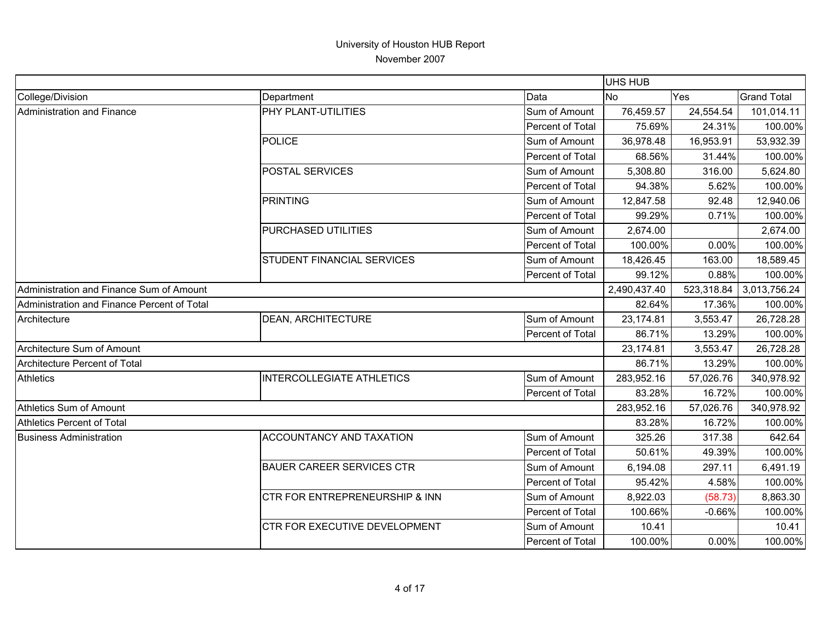|                                             |                                           |                  | <b>UHS HUB</b> |            |                    |
|---------------------------------------------|-------------------------------------------|------------------|----------------|------------|--------------------|
| College/Division                            | Department                                | Data             | <b>No</b>      | Yes        | <b>Grand Total</b> |
| Administration and Finance                  | PHY PLANT-UTILITIES                       | Sum of Amount    | 76,459.57      | 24,554.54  | 101,014.11         |
|                                             |                                           | Percent of Total | 75.69%         | 24.31%     | 100.00%            |
|                                             | <b>POLICE</b>                             | Sum of Amount    | 36,978.48      | 16,953.91  | 53,932.39          |
|                                             |                                           | Percent of Total | 68.56%         | 31.44%     | 100.00%            |
|                                             | <b>POSTAL SERVICES</b>                    | Sum of Amount    | 5,308.80       | 316.00     | 5,624.80           |
|                                             |                                           | Percent of Total | 94.38%         | 5.62%      | 100.00%            |
|                                             | PRINTING                                  | Sum of Amount    | 12,847.58      | 92.48      | 12,940.06          |
|                                             |                                           | Percent of Total | 99.29%         | 0.71%      | 100.00%            |
|                                             | PURCHASED UTILITIES                       | Sum of Amount    | 2,674.00       |            | 2,674.00           |
|                                             |                                           | Percent of Total | 100.00%        | 0.00%      | 100.00%            |
|                                             | STUDENT FINANCIAL SERVICES                | Sum of Amount    | 18,426.45      | 163.00     | 18,589.45          |
|                                             |                                           | Percent of Total | 99.12%         | 0.88%      | 100.00%            |
| Administration and Finance Sum of Amount    |                                           |                  | 2,490,437.40   | 523,318.84 | 3,013,756.24       |
| Administration and Finance Percent of Total |                                           |                  | 82.64%         | 17.36%     | 100.00%            |
| Architecture                                | <b>DEAN, ARCHITECTURE</b>                 | Sum of Amount    | 23,174.81      | 3,553.47   | 26,728.28          |
|                                             |                                           | Percent of Total | 86.71%         | 13.29%     | 100.00%            |
| Architecture Sum of Amount                  |                                           |                  | 23,174.81      | 3,553.47   | 26,728.28          |
| Architecture Percent of Total               |                                           |                  | 86.71%         | 13.29%     | 100.00%            |
| <b>Athletics</b>                            | <b>INTERCOLLEGIATE ATHLETICS</b>          | Sum of Amount    | 283,952.16     | 57,026.76  | 340,978.92         |
|                                             |                                           | Percent of Total | 83.28%         | 16.72%     | 100.00%            |
| Athletics Sum of Amount                     |                                           |                  | 283,952.16     | 57,026.76  | 340,978.92         |
| Athletics Percent of Total                  |                                           |                  | 83.28%         | 16.72%     | 100.00%            |
| <b>Business Administration</b>              | <b>ACCOUNTANCY AND TAXATION</b>           | Sum of Amount    | 325.26         | 317.38     | 642.64             |
|                                             |                                           | Percent of Total | 50.61%         | 49.39%     | 100.00%            |
|                                             | <b>BAUER CAREER SERVICES CTR</b>          | Sum of Amount    | 6,194.08       | 297.11     | 6,491.19           |
|                                             |                                           | Percent of Total | 95.42%         | 4.58%      | 100.00%            |
|                                             | <b>CTR FOR ENTREPRENEURSHIP &amp; INN</b> | Sum of Amount    | 8,922.03       | (58.73)    | 8,863.30           |
|                                             |                                           | Percent of Total | 100.66%        | $-0.66%$   | 100.00%            |
|                                             | CTR FOR EXECUTIVE DEVELOPMENT             | Sum of Amount    | 10.41          |            | 10.41              |
|                                             |                                           | Percent of Total | 100.00%        | 0.00%      | 100.00%            |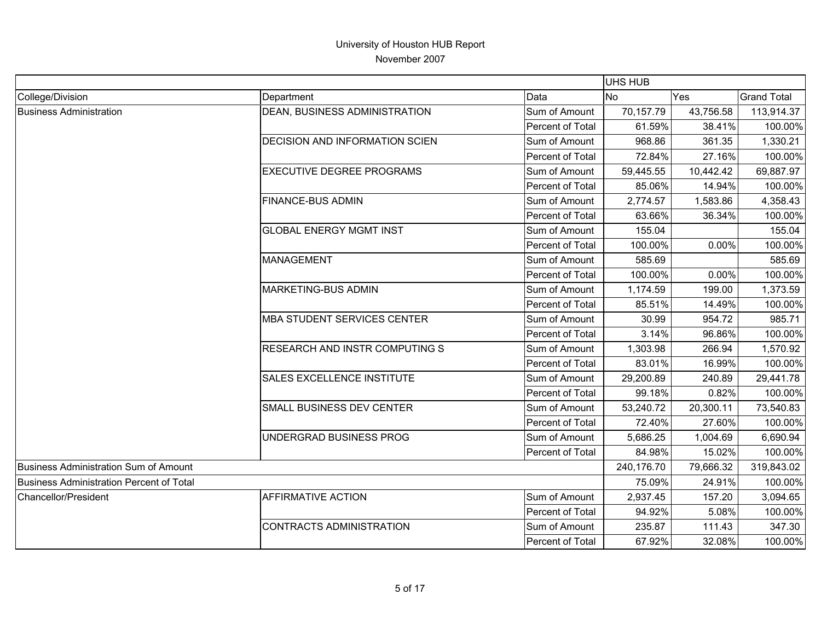|                                          |                                       |                  | <b>UHS HUB</b> |           |                    |
|------------------------------------------|---------------------------------------|------------------|----------------|-----------|--------------------|
| College/Division                         | Department                            | Data             | <b>No</b>      | Yes       | <b>Grand Total</b> |
| <b>Business Administration</b>           | <b>DEAN, BUSINESS ADMINISTRATION</b>  | Sum of Amount    | 70,157.79      | 43,756.58 | 113,914.37         |
|                                          |                                       | Percent of Total | 61.59%         | 38.41%    | 100.00%            |
|                                          | <b>DECISION AND INFORMATION SCIEN</b> | Sum of Amount    | 968.86         | 361.35    | 1,330.21           |
|                                          |                                       | Percent of Total | 72.84%         | 27.16%    | 100.00%            |
|                                          | <b>EXECUTIVE DEGREE PROGRAMS</b>      | Sum of Amount    | 59,445.55      | 10,442.42 | 69,887.97          |
|                                          |                                       | Percent of Total | 85.06%         | 14.94%    | 100.00%            |
|                                          | <b>FINANCE-BUS ADMIN</b>              | Sum of Amount    | 2,774.57       | 1,583.86  | 4,358.43           |
|                                          |                                       | Percent of Total | 63.66%         | 36.34%    | 100.00%            |
|                                          | <b>GLOBAL ENERGY MGMT INST</b>        | Sum of Amount    | 155.04         |           | 155.04             |
|                                          |                                       | Percent of Total | 100.00%        | 0.00%     | 100.00%            |
|                                          | <b>MANAGEMENT</b>                     | Sum of Amount    | 585.69         |           | 585.69             |
|                                          |                                       | Percent of Total | 100.00%        | 0.00%     | 100.00%            |
|                                          | <b>MARKETING-BUS ADMIN</b>            | Sum of Amount    | 1,174.59       | 199.00    | 1,373.59           |
|                                          |                                       | Percent of Total | 85.51%         | 14.49%    | 100.00%            |
|                                          | <b>MBA STUDENT SERVICES CENTER</b>    | Sum of Amount    | 30.99          | 954.72    | 985.71             |
|                                          |                                       | Percent of Total | 3.14%          | 96.86%    | 100.00%            |
|                                          | <b>RESEARCH AND INSTR COMPUTING S</b> | Sum of Amount    | 1,303.98       | 266.94    | 1,570.92           |
|                                          |                                       | Percent of Total | 83.01%         | 16.99%    | 100.00%            |
|                                          | <b>SALES EXCELLENCE INSTITUTE</b>     | Sum of Amount    | 29,200.89      | 240.89    | 29,441.78          |
|                                          |                                       | Percent of Total | 99.18%         | 0.82%     | 100.00%            |
|                                          | SMALL BUSINESS DEV CENTER             | Sum of Amount    | 53,240.72      | 20,300.11 | 73,540.83          |
|                                          |                                       | Percent of Total | 72.40%         | 27.60%    | 100.00%            |
|                                          | UNDERGRAD BUSINESS PROG               | Sum of Amount    | 5,686.25       | 1,004.69  | 6,690.94           |
|                                          |                                       | Percent of Total | 84.98%         | 15.02%    | 100.00%            |
| Business Administration Sum of Amount    |                                       |                  | 240,176.70     | 79,666.32 | 319,843.02         |
| Business Administration Percent of Total |                                       |                  | 75.09%         | 24.91%    | 100.00%            |
| Chancellor/President                     | <b>AFFIRMATIVE ACTION</b>             | Sum of Amount    | 2,937.45       | 157.20    | 3,094.65           |
|                                          |                                       | Percent of Total | 94.92%         | 5.08%     | 100.00%            |
|                                          | <b>CONTRACTS ADMINISTRATION</b>       | Sum of Amount    | 235.87         | 111.43    | 347.30             |
|                                          |                                       | Percent of Total | 67.92%         | 32.08%    | 100.00%            |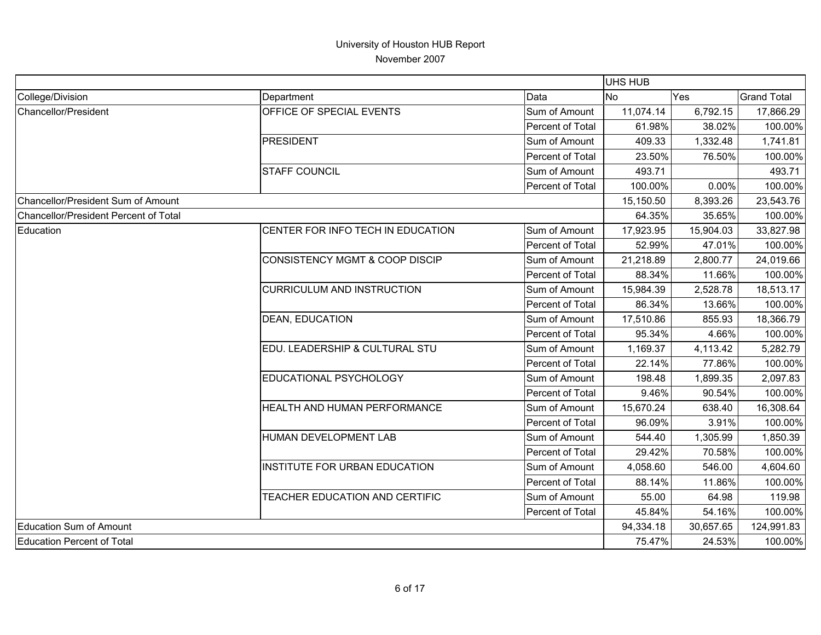|                                       |                                   | <b>UHS HUB</b>   |           |           |                    |
|---------------------------------------|-----------------------------------|------------------|-----------|-----------|--------------------|
| College/Division                      | Department                        | Data             | <b>No</b> | Yes       | <b>Grand Total</b> |
| Chancellor/President                  | OFFICE OF SPECIAL EVENTS          | Sum of Amount    | 11,074.14 | 6,792.15  | 17,866.29          |
|                                       |                                   | Percent of Total | 61.98%    | 38.02%    | 100.00%            |
|                                       | <b>PRESIDENT</b>                  | Sum of Amount    | 409.33    | 1,332.48  | 1,741.81           |
|                                       |                                   | Percent of Total | 23.50%    | 76.50%    | 100.00%            |
|                                       | <b>STAFF COUNCIL</b>              | Sum of Amount    | 493.71    |           | 493.71             |
|                                       |                                   | Percent of Total | 100.00%   | 0.00%     | 100.00%            |
| Chancellor/President Sum of Amount    |                                   |                  | 15,150.50 | 8,393.26  | 23,543.76          |
| Chancellor/President Percent of Total |                                   |                  | 64.35%    | 35.65%    | 100.00%            |
| Education                             | CENTER FOR INFO TECH IN EDUCATION | Sum of Amount    | 17,923.95 | 15,904.03 | 33,827.98          |
|                                       |                                   | Percent of Total | 52.99%    | 47.01%    | 100.00%            |
|                                       | CONSISTENCY MGMT & COOP DISCIP    | Sum of Amount    | 21,218.89 | 2,800.77  | 24,019.66          |
|                                       |                                   | Percent of Total | 88.34%    | 11.66%    | 100.00%            |
|                                       | <b>CURRICULUM AND INSTRUCTION</b> | Sum of Amount    | 15,984.39 | 2,528.78  | 18,513.17          |
|                                       |                                   | Percent of Total | 86.34%    | 13.66%    | 100.00%            |
|                                       | <b>DEAN, EDUCATION</b>            | Sum of Amount    | 17,510.86 | 855.93    | 18,366.79          |
|                                       |                                   | Percent of Total | 95.34%    | 4.66%     | 100.00%            |
|                                       | EDU. LEADERSHIP & CULTURAL STU    | Sum of Amount    | 1,169.37  | 4,113.42  | 5,282.79           |
|                                       |                                   | Percent of Total | 22.14%    | 77.86%    | 100.00%            |
|                                       | EDUCATIONAL PSYCHOLOGY            | Sum of Amount    | 198.48    | 1,899.35  | 2,097.83           |
|                                       |                                   | Percent of Total | 9.46%     | 90.54%    | 100.00%            |
|                                       | HEALTH AND HUMAN PERFORMANCE      | Sum of Amount    | 15,670.24 | 638.40    | 16,308.64          |
|                                       |                                   | Percent of Total | 96.09%    | 3.91%     | 100.00%            |
|                                       | HUMAN DEVELOPMENT LAB             | Sum of Amount    | 544.40    | 1,305.99  | 1,850.39           |
|                                       |                                   | Percent of Total | 29.42%    | 70.58%    | 100.00%            |
|                                       | INSTITUTE FOR URBAN EDUCATION     | Sum of Amount    | 4,058.60  | 546.00    | 4,604.60           |
|                                       |                                   | Percent of Total | 88.14%    | 11.86%    | 100.00%            |
|                                       | TEACHER EDUCATION AND CERTIFIC    | Sum of Amount    | 55.00     | 64.98     | 119.98             |
|                                       |                                   | Percent of Total | 45.84%    | 54.16%    | 100.00%            |
| Education Sum of Amount               |                                   |                  | 94,334.18 | 30,657.65 | 124,991.83         |
| Education Percent of Total            |                                   |                  | 75.47%    | 24.53%    | 100.00%            |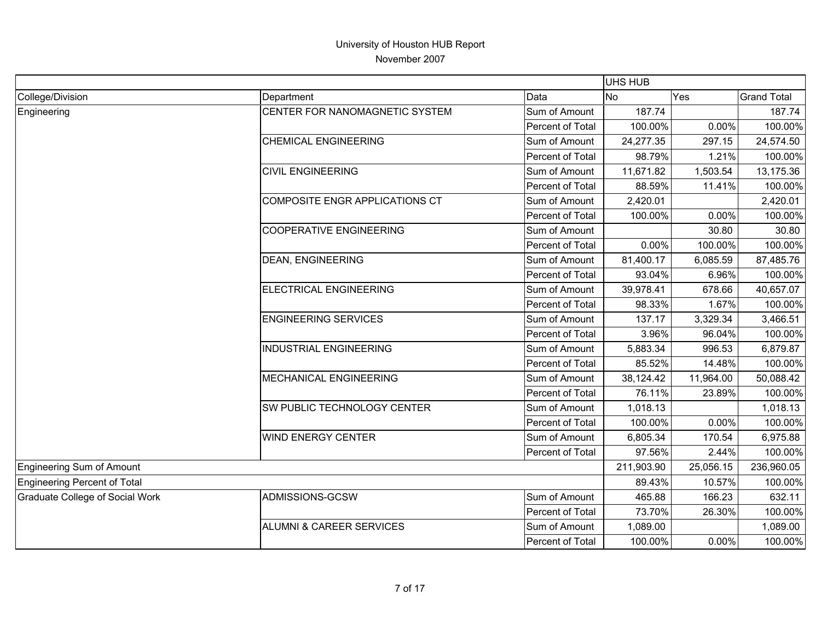|                                        |                                |                  | <b>UHS HUB</b> |           |                    |
|----------------------------------------|--------------------------------|------------------|----------------|-----------|--------------------|
| College/Division                       | Department                     | Data             | <b>No</b>      | Yes       | <b>Grand Total</b> |
| Engineering                            | CENTER FOR NANOMAGNETIC SYSTEM | Sum of Amount    | 187.74         |           | 187.74             |
|                                        |                                | Percent of Total | 100.00%        | 0.00%     | 100.00%            |
|                                        | <b>CHEMICAL ENGINEERING</b>    | Sum of Amount    | 24,277.35      | 297.15    | 24,574.50          |
|                                        |                                | Percent of Total | 98.79%         | 1.21%     | 100.00%            |
|                                        | <b>CIVIL ENGINEERING</b>       | Sum of Amount    | 11,671.82      | 1,503.54  | 13,175.36          |
|                                        |                                | Percent of Total | 88.59%         | 11.41%    | 100.00%            |
|                                        | COMPOSITE ENGR APPLICATIONS CT | Sum of Amount    | 2,420.01       |           | 2,420.01           |
|                                        |                                | Percent of Total | 100.00%        | 0.00%     | 100.00%            |
|                                        | <b>COOPERATIVE ENGINEERING</b> | Sum of Amount    |                | 30.80     | 30.80              |
|                                        |                                | Percent of Total | 0.00%          | 100.00%   | 100.00%            |
|                                        | <b>DEAN, ENGINEERING</b>       | Sum of Amount    | 81,400.17      | 6,085.59  | 87,485.76          |
|                                        |                                | Percent of Total | 93.04%         | 6.96%     | 100.00%            |
|                                        | ELECTRICAL ENGINEERING         | Sum of Amount    | 39,978.41      | 678.66    | 40,657.07          |
|                                        |                                | Percent of Total | 98.33%         | 1.67%     | 100.00%            |
|                                        | <b>ENGINEERING SERVICES</b>    | Sum of Amount    | 137.17         | 3,329.34  | 3,466.51           |
|                                        |                                | Percent of Total | 3.96%          | 96.04%    | 100.00%            |
|                                        | <b>INDUSTRIAL ENGINEERING</b>  | Sum of Amount    | 5,883.34       | 996.53    | 6,879.87           |
|                                        |                                | Percent of Total | 85.52%         | 14.48%    | 100.00%            |
|                                        | <b>MECHANICAL ENGINEERING</b>  | Sum of Amount    | 38,124.42      | 11,964.00 | 50,088.42          |
|                                        |                                | Percent of Total | 76.11%         | 23.89%    | 100.00%            |
|                                        | SW PUBLIC TECHNOLOGY CENTER    | Sum of Amount    | 1,018.13       |           | 1,018.13           |
|                                        |                                | Percent of Total | 100.00%        | 0.00%     | 100.00%            |
|                                        | <b>WIND ENERGY CENTER</b>      | Sum of Amount    | 6,805.34       | 170.54    | 6,975.88           |
|                                        |                                | Percent of Total | 97.56%         | 2.44%     | 100.00%            |
| Engineering Sum of Amount              |                                |                  | 211,903.90     | 25,056.15 | 236,960.05         |
| Engineering Percent of Total           |                                |                  | 89.43%         | 10.57%    | 100.00%            |
| <b>Graduate College of Social Work</b> | ADMISSIONS-GCSW                | Sum of Amount    | 465.88         | 166.23    | 632.11             |
|                                        |                                | Percent of Total | 73.70%         | 26.30%    | 100.00%            |
|                                        | ALUMNI & CAREER SERVICES       | Sum of Amount    | 1,089.00       |           | 1,089.00           |
|                                        |                                | Percent of Total | 100.00%        | 0.00%     | 100.00%            |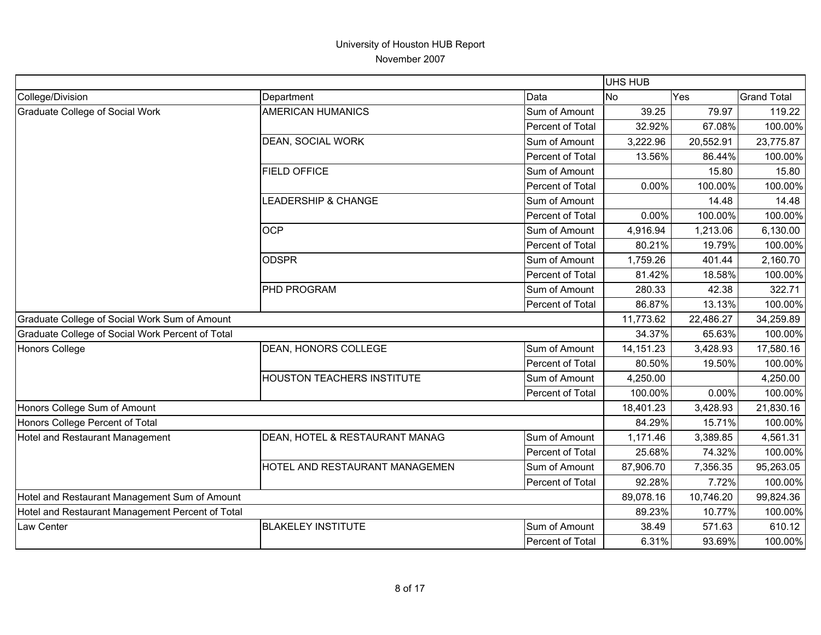|                                                  |                                |                  | <b>UHS HUB</b> |           |                    |
|--------------------------------------------------|--------------------------------|------------------|----------------|-----------|--------------------|
| College/Division                                 | Department                     | Data             | <b>No</b>      | Yes       | <b>Grand Total</b> |
| <b>Graduate College of Social Work</b>           | <b>AMERICAN HUMANICS</b>       | Sum of Amount    | 39.25          | 79.97     | 119.22             |
|                                                  |                                | Percent of Total | 32.92%         | 67.08%    | 100.00%            |
|                                                  | DEAN, SOCIAL WORK              | Sum of Amount    | 3,222.96       | 20,552.91 | 23,775.87          |
|                                                  |                                | Percent of Total | 13.56%         | 86.44%    | 100.00%            |
|                                                  | <b>FIELD OFFICE</b>            | Sum of Amount    |                | 15.80     | 15.80              |
|                                                  |                                | Percent of Total | 0.00%          | 100.00%   | 100.00%            |
|                                                  | LEADERSHIP & CHANGE            | Sum of Amount    |                | 14.48     | 14.48              |
|                                                  |                                | Percent of Total | 0.00%          | 100.00%   | 100.00%            |
|                                                  | <b>OCP</b>                     | Sum of Amount    | 4,916.94       | 1,213.06  | 6,130.00           |
|                                                  |                                | Percent of Total | 80.21%         | 19.79%    | 100.00%            |
|                                                  | <b>ODSPR</b>                   | Sum of Amount    | 1,759.26       | 401.44    | 2,160.70           |
|                                                  |                                | Percent of Total | 81.42%         | 18.58%    | 100.00%            |
|                                                  | PHD PROGRAM                    | Sum of Amount    | 280.33         | 42.38     | 322.71             |
|                                                  |                                | Percent of Total | 86.87%         | 13.13%    | 100.00%            |
| Graduate College of Social Work Sum of Amount    |                                |                  | 11,773.62      | 22,486.27 | 34,259.89          |
| Graduate College of Social Work Percent of Total |                                |                  | 34.37%         | 65.63%    | 100.00%            |
| Honors College                                   | DEAN, HONORS COLLEGE           | Sum of Amount    | 14, 151. 23    | 3,428.93  | 17,580.16          |
|                                                  |                                | Percent of Total | 80.50%         | 19.50%    | 100.00%            |
|                                                  | HOUSTON TEACHERS INSTITUTE     | Sum of Amount    | 4,250.00       |           | 4,250.00           |
|                                                  |                                | Percent of Total | 100.00%        | 0.00%     | 100.00%            |
| Honors College Sum of Amount                     |                                |                  | 18,401.23      | 3,428.93  | 21,830.16          |
| Honors College Percent of Total                  |                                |                  | 84.29%         | 15.71%    | 100.00%            |
| Hotel and Restaurant Management                  | DEAN, HOTEL & RESTAURANT MANAG | Sum of Amount    | 1,171.46       | 3,389.85  | 4,561.31           |
|                                                  |                                | Percent of Total | 25.68%         | 74.32%    | 100.00%            |
|                                                  | HOTEL AND RESTAURANT MANAGEMEN | Sum of Amount    | 87,906.70      | 7,356.35  | 95,263.05          |
|                                                  |                                | Percent of Total | 92.28%         | 7.72%     | 100.00%            |
| Hotel and Restaurant Management Sum of Amount    |                                |                  | 89,078.16      | 10,746.20 | 99,824.36          |
| Hotel and Restaurant Management Percent of Total |                                |                  | 89.23%         | 10.77%    | 100.00%            |
| Law Center                                       | <b>BLAKELEY INSTITUTE</b>      | Sum of Amount    | 38.49          | 571.63    | 610.12             |
|                                                  |                                | Percent of Total | 6.31%          | 93.69%    | 100.00%            |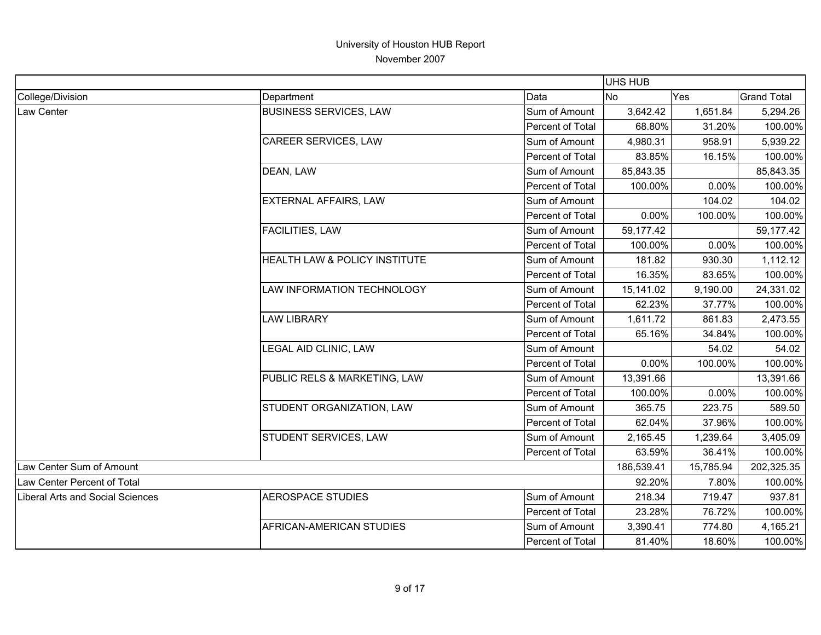|                                  |                               |                  | UHS HUB    |           |                    |
|----------------------------------|-------------------------------|------------------|------------|-----------|--------------------|
| College/Division                 | Department                    | Data             | <b>No</b>  | Yes       | <b>Grand Total</b> |
| Law Center                       | <b>BUSINESS SERVICES, LAW</b> | Sum of Amount    | 3,642.42   | 1,651.84  | 5,294.26           |
|                                  |                               | Percent of Total | 68.80%     | 31.20%    | 100.00%            |
|                                  | <b>CAREER SERVICES, LAW</b>   | Sum of Amount    | 4,980.31   | 958.91    | 5,939.22           |
|                                  |                               | Percent of Total | 83.85%     | 16.15%    | 100.00%            |
|                                  | DEAN, LAW                     | Sum of Amount    | 85,843.35  |           | 85,843.35          |
|                                  |                               | Percent of Total | 100.00%    | 0.00%     | 100.00%            |
|                                  | <b>EXTERNAL AFFAIRS, LAW</b>  | Sum of Amount    |            | 104.02    | 104.02             |
|                                  |                               | Percent of Total | 0.00%      | 100.00%   | 100.00%            |
|                                  | <b>FACILITIES, LAW</b>        | Sum of Amount    | 59,177.42  |           | 59,177.42          |
|                                  |                               | Percent of Total | 100.00%    | 0.00%     | 100.00%            |
|                                  | HEALTH LAW & POLICY INSTITUTE | Sum of Amount    | 181.82     | 930.30    | 1,112.12           |
|                                  |                               | Percent of Total | 16.35%     | 83.65%    | 100.00%            |
|                                  | LAW INFORMATION TECHNOLOGY    | Sum of Amount    | 15,141.02  | 9,190.00  | 24,331.02          |
|                                  |                               | Percent of Total | 62.23%     | 37.77%    | 100.00%            |
|                                  | <b>LAW LIBRARY</b>            | Sum of Amount    | 1,611.72   | 861.83    | 2,473.55           |
|                                  |                               | Percent of Total | 65.16%     | 34.84%    | 100.00%            |
|                                  | LEGAL AID CLINIC, LAW         | Sum of Amount    |            | 54.02     | 54.02              |
|                                  |                               | Percent of Total | 0.00%      | 100.00%   | 100.00%            |
|                                  | PUBLIC RELS & MARKETING, LAW  | Sum of Amount    | 13,391.66  |           | 13,391.66          |
|                                  |                               | Percent of Total | 100.00%    | 0.00%     | 100.00%            |
|                                  | STUDENT ORGANIZATION, LAW     | Sum of Amount    | 365.75     | 223.75    | 589.50             |
|                                  |                               | Percent of Total | 62.04%     | 37.96%    | 100.00%            |
|                                  | STUDENT SERVICES, LAW         | Sum of Amount    | 2,165.45   | 1,239.64  | 3,405.09           |
|                                  |                               | Percent of Total | 63.59%     | 36.41%    | 100.00%            |
| Law Center Sum of Amount         |                               |                  | 186,539.41 | 15,785.94 | 202,325.35         |
| Law Center Percent of Total      |                               |                  | 92.20%     | 7.80%     | 100.00%            |
| Liberal Arts and Social Sciences | AEROSPACE STUDIES             | Sum of Amount    | 218.34     | 719.47    | 937.81             |
|                                  |                               | Percent of Total | 23.28%     | 76.72%    | 100.00%            |
|                                  | AFRICAN-AMERICAN STUDIES      | Sum of Amount    | 3,390.41   | 774.80    | 4,165.21           |
|                                  |                               | Percent of Total | 81.40%     | 18.60%    | 100.00%            |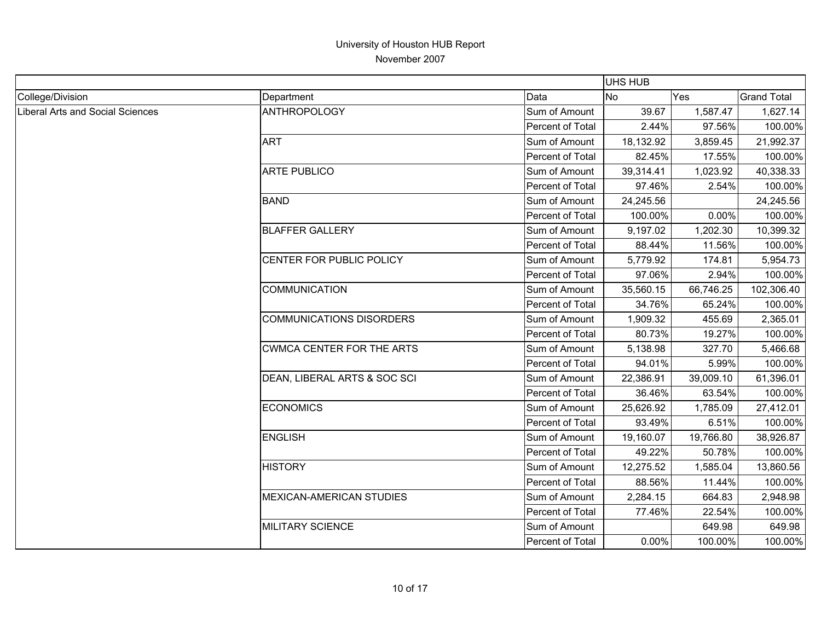|                                         |                                  |                  | <b>UHS HUB</b> |           |                    |
|-----------------------------------------|----------------------------------|------------------|----------------|-----------|--------------------|
| College/Division                        | Department                       | Data             | N <sub>0</sub> | Yes       | <b>Grand Total</b> |
| <b>Liberal Arts and Social Sciences</b> | <b>ANTHROPOLOGY</b>              | Sum of Amount    | 39.67          | 1,587.47  | 1,627.14           |
|                                         |                                  | Percent of Total | 2.44%          | 97.56%    | 100.00%            |
|                                         | <b>ART</b>                       | Sum of Amount    | 18,132.92      | 3,859.45  | 21,992.37          |
|                                         |                                  | Percent of Total | 82.45%         | 17.55%    | 100.00%            |
|                                         | <b>ARTE PUBLICO</b>              | Sum of Amount    | 39,314.41      | 1,023.92  | 40,338.33          |
|                                         |                                  | Percent of Total | 97.46%         | 2.54%     | 100.00%            |
|                                         | <b>BAND</b>                      | Sum of Amount    | 24,245.56      |           | 24,245.56          |
|                                         |                                  | Percent of Total | 100.00%        | 0.00%     | 100.00%            |
|                                         | <b>BLAFFER GALLERY</b>           | Sum of Amount    | 9,197.02       | 1,202.30  | 10,399.32          |
|                                         |                                  | Percent of Total | 88.44%         | 11.56%    | 100.00%            |
|                                         | CENTER FOR PUBLIC POLICY         | Sum of Amount    | 5,779.92       | 174.81    | 5,954.73           |
|                                         |                                  | Percent of Total | 97.06%         | 2.94%     | 100.00%            |
|                                         | <b>COMMUNICATION</b>             | Sum of Amount    | 35,560.15      | 66,746.25 | 102,306.40         |
|                                         |                                  | Percent of Total | 34.76%         | 65.24%    | 100.00%            |
|                                         | <b>COMMUNICATIONS DISORDERS</b>  | Sum of Amount    | 1,909.32       | 455.69    | 2,365.01           |
|                                         |                                  | Percent of Total | 80.73%         | 19.27%    | 100.00%            |
|                                         | <b>CWMCA CENTER FOR THE ARTS</b> | Sum of Amount    | 5,138.98       | 327.70    | 5,466.68           |
|                                         |                                  | Percent of Total | 94.01%         | 5.99%     | 100.00%            |
|                                         | DEAN, LIBERAL ARTS & SOC SCI     | Sum of Amount    | 22,386.91      | 39,009.10 | 61,396.01          |
|                                         |                                  | Percent of Total | 36.46%         | 63.54%    | 100.00%            |
|                                         | <b>ECONOMICS</b>                 | Sum of Amount    | 25,626.92      | 1,785.09  | 27,412.01          |
|                                         |                                  | Percent of Total | 93.49%         | 6.51%     | 100.00%            |
|                                         | <b>ENGLISH</b>                   | Sum of Amount    | 19,160.07      | 19,766.80 | 38,926.87          |
|                                         |                                  | Percent of Total | 49.22%         | 50.78%    | 100.00%            |
|                                         | <b>HISTORY</b>                   | Sum of Amount    | 12,275.52      | 1,585.04  | 13,860.56          |
|                                         |                                  | Percent of Total | 88.56%         | 11.44%    | 100.00%            |
|                                         | MEXICAN-AMERICAN STUDIES         | Sum of Amount    | 2,284.15       | 664.83    | 2,948.98           |
|                                         |                                  | Percent of Total | 77.46%         | 22.54%    | 100.00%            |
|                                         | <b>MILITARY SCIENCE</b>          | Sum of Amount    |                | 649.98    | 649.98             |
|                                         |                                  | Percent of Total | 0.00%          | 100.00%   | 100.00%            |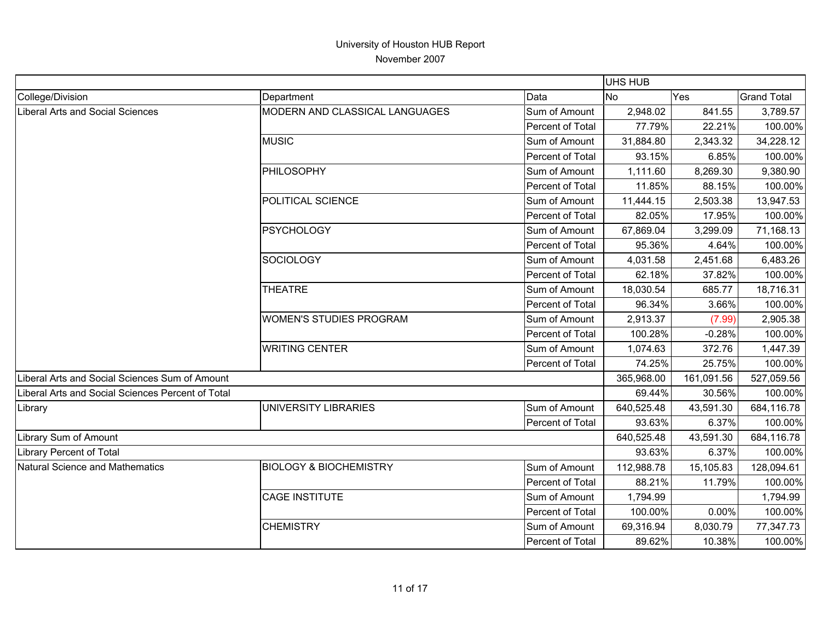|                                                   |                                   |                  | <b>UHS HUB</b> |            |                    |
|---------------------------------------------------|-----------------------------------|------------------|----------------|------------|--------------------|
| College/Division                                  | Department                        | Data             | <b>No</b>      | Yes        | <b>Grand Total</b> |
| Liberal Arts and Social Sciences                  | MODERN AND CLASSICAL LANGUAGES    | Sum of Amount    | 2,948.02       | 841.55     | 3,789.57           |
|                                                   |                                   | Percent of Total | 77.79%         | 22.21%     | 100.00%            |
|                                                   | <b>MUSIC</b>                      | Sum of Amount    | 31,884.80      | 2,343.32   | 34,228.12          |
|                                                   |                                   | Percent of Total | 93.15%         | 6.85%      | 100.00%            |
|                                                   | PHILOSOPHY                        | Sum of Amount    | 1,111.60       | 8,269.30   | 9,380.90           |
|                                                   |                                   | Percent of Total | 11.85%         | 88.15%     | 100.00%            |
|                                                   | POLITICAL SCIENCE                 | Sum of Amount    | 11,444.15      | 2,503.38   | 13,947.53          |
|                                                   |                                   | Percent of Total | 82.05%         | 17.95%     | 100.00%            |
|                                                   | <b>PSYCHOLOGY</b>                 | Sum of Amount    | 67,869.04      | 3,299.09   | 71,168.13          |
|                                                   |                                   | Percent of Total | 95.36%         | 4.64%      | 100.00%            |
|                                                   | <b>SOCIOLOGY</b>                  | Sum of Amount    | 4,031.58       | 2,451.68   | 6,483.26           |
|                                                   |                                   | Percent of Total | 62.18%         | 37.82%     | 100.00%            |
|                                                   | <b>THEATRE</b>                    | Sum of Amount    | 18,030.54      | 685.77     | 18,716.31          |
|                                                   |                                   | Percent of Total | 96.34%         | 3.66%      | 100.00%            |
|                                                   | <b>WOMEN'S STUDIES PROGRAM</b>    | Sum of Amount    | 2,913.37       | (7.99)     | 2,905.38           |
|                                                   |                                   | Percent of Total | 100.28%        | $-0.28%$   | 100.00%            |
|                                                   | <b>WRITING CENTER</b>             | Sum of Amount    | 1,074.63       | 372.76     | 1,447.39           |
|                                                   |                                   | Percent of Total | 74.25%         | 25.75%     | 100.00%            |
| Liberal Arts and Social Sciences Sum of Amount    |                                   |                  | 365,968.00     | 161,091.56 | 527,059.56         |
| Liberal Arts and Social Sciences Percent of Total |                                   |                  | 69.44%         | 30.56%     | 100.00%            |
| Library                                           | <b>UNIVERSITY LIBRARIES</b>       | Sum of Amount    | 640,525.48     | 43,591.30  | 684,116.78         |
|                                                   |                                   | Percent of Total | 93.63%         | 6.37%      | 100.00%            |
| <b>Library Sum of Amount</b>                      |                                   |                  | 640,525.48     | 43,591.30  | 684,116.78         |
| Library Percent of Total                          |                                   |                  | 93.63%         | 6.37%      | 100.00%            |
| Natural Science and Mathematics                   | <b>BIOLOGY &amp; BIOCHEMISTRY</b> | Sum of Amount    | 112,988.78     | 15,105.83  | 128,094.61         |
|                                                   |                                   | Percent of Total | 88.21%         | 11.79%     | 100.00%            |
|                                                   | <b>CAGE INSTITUTE</b>             | Sum of Amount    | 1,794.99       |            | 1,794.99           |
|                                                   |                                   | Percent of Total | 100.00%        | 0.00%      | 100.00%            |
|                                                   | <b>CHEMISTRY</b>                  | Sum of Amount    | 69,316.94      | 8,030.79   | 77,347.73          |
|                                                   |                                   | Percent of Total | 89.62%         | 10.38%     | 100.00%            |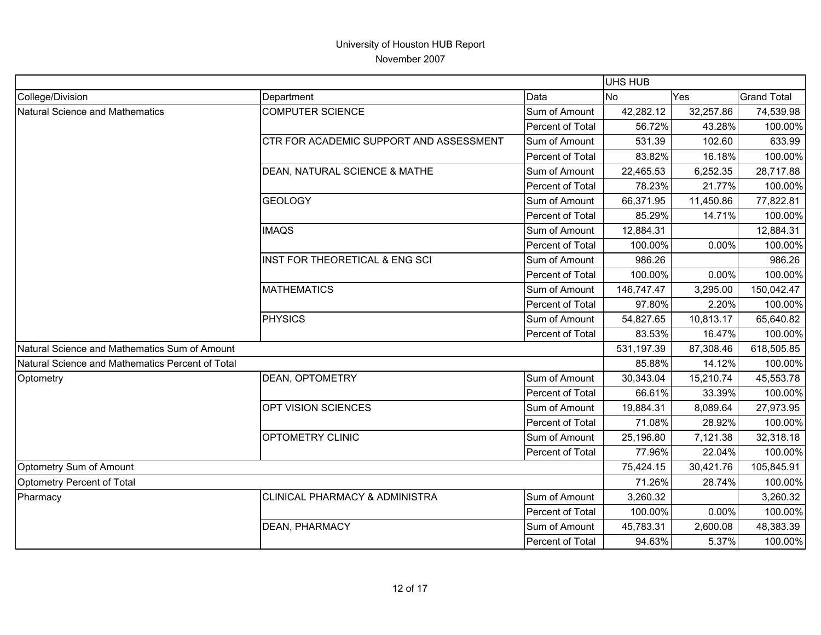|                                                  |                                           |                  | <b>UHS HUB</b> |           |                    |
|--------------------------------------------------|-------------------------------------------|------------------|----------------|-----------|--------------------|
| College/Division                                 | Department                                | Data             | <b>No</b>      | Yes       | <b>Grand Total</b> |
| Natural Science and Mathematics                  | <b>COMPUTER SCIENCE</b>                   | Sum of Amount    | 42,282.12      | 32,257.86 | 74,539.98          |
|                                                  |                                           | Percent of Total | 56.72%         | 43.28%    | 100.00%            |
|                                                  | CTR FOR ACADEMIC SUPPORT AND ASSESSMENT   | Sum of Amount    | 531.39         | 102.60    | 633.99             |
|                                                  |                                           | Percent of Total | 83.82%         | 16.18%    | 100.00%            |
|                                                  | DEAN, NATURAL SCIENCE & MATHE             | Sum of Amount    | 22,465.53      | 6,252.35  | 28,717.88          |
|                                                  |                                           | Percent of Total | 78.23%         | 21.77%    | 100.00%            |
|                                                  | <b>GEOLOGY</b>                            | Sum of Amount    | 66,371.95      | 11,450.86 | 77,822.81          |
|                                                  |                                           | Percent of Total | 85.29%         | 14.71%    | 100.00%            |
|                                                  | <b>IMAQS</b>                              | Sum of Amount    | 12,884.31      |           | 12,884.31          |
|                                                  |                                           | Percent of Total | 100.00%        | 0.00%     | 100.00%            |
|                                                  | INST FOR THEORETICAL & ENG SCI            | Sum of Amount    | 986.26         |           | 986.26             |
|                                                  |                                           | Percent of Total | 100.00%        | 0.00%     | 100.00%            |
|                                                  | <b>MATHEMATICS</b>                        | Sum of Amount    | 146,747.47     | 3,295.00  | 150,042.47         |
|                                                  |                                           | Percent of Total | 97.80%         | 2.20%     | 100.00%            |
|                                                  | <b>PHYSICS</b>                            | Sum of Amount    | 54,827.65      | 10,813.17 | 65,640.82          |
|                                                  |                                           | Percent of Total | 83.53%         | 16.47%    | 100.00%            |
| Natural Science and Mathematics Sum of Amount    |                                           |                  | 531,197.39     | 87,308.46 | 618,505.85         |
| Natural Science and Mathematics Percent of Total |                                           |                  | 85.88%         | 14.12%    | 100.00%            |
| Optometry                                        | <b>DEAN, OPTOMETRY</b>                    | Sum of Amount    | 30,343.04      | 15,210.74 | 45,553.78          |
|                                                  |                                           | Percent of Total | 66.61%         | 33.39%    | 100.00%            |
|                                                  | OPT VISION SCIENCES                       | Sum of Amount    | 19,884.31      | 8,089.64  | 27,973.95          |
|                                                  |                                           | Percent of Total | 71.08%         | 28.92%    | 100.00%            |
|                                                  | OPTOMETRY CLINIC                          | Sum of Amount    | 25,196.80      | 7,121.38  | 32,318.18          |
|                                                  |                                           | Percent of Total | 77.96%         | 22.04%    | 100.00%            |
| Optometry Sum of Amount                          |                                           |                  | 75,424.15      | 30,421.76 | 105,845.91         |
| Optometry Percent of Total                       |                                           |                  | 71.26%         | 28.74%    | 100.00%            |
| Pharmacy                                         | <b>CLINICAL PHARMACY &amp; ADMINISTRA</b> | Sum of Amount    | 3,260.32       |           | 3,260.32           |
|                                                  |                                           | Percent of Total | 100.00%        | 0.00%     | 100.00%            |
|                                                  | <b>DEAN, PHARMACY</b>                     | Sum of Amount    | 45,783.31      | 2,600.08  | 48,383.39          |
|                                                  |                                           | Percent of Total | 94.63%         | 5.37%     | 100.00%            |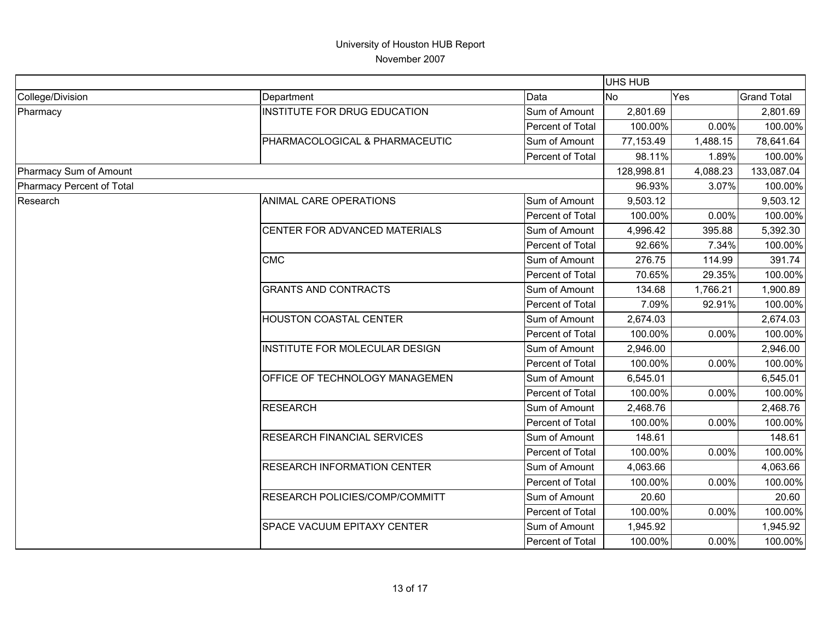|                           |                                    |                  | <b>UHS HUB</b> |          |                                                                                                            |
|---------------------------|------------------------------------|------------------|----------------|----------|------------------------------------------------------------------------------------------------------------|
| College/Division          | Department                         | Data             | <b>No</b>      | Yes      | <b>Grand Total</b>                                                                                         |
| Pharmacy                  | INSTITUTE FOR DRUG EDUCATION       | Sum of Amount    | 2,801.69       |          | 2,801.69                                                                                                   |
|                           |                                    | Percent of Total | 100.00%        | 0.00%    | 100.00%                                                                                                    |
|                           | PHARMACOLOGICAL & PHARMACEUTIC     | Sum of Amount    | 77,153.49      | 1,488.15 | 78,641.64                                                                                                  |
|                           |                                    | Percent of Total | 98.11%         | 1.89%    | 100.00%                                                                                                    |
| Pharmacy Sum of Amount    |                                    |                  | 128,998.81     | 4,088.23 | 133,087.04                                                                                                 |
| Pharmacy Percent of Total |                                    |                  | 96.93%         | 3.07%    | 100.00%                                                                                                    |
| Research                  | ANIMAL CARE OPERATIONS             | Sum of Amount    | 9,503.12       |          | 9,503.12                                                                                                   |
|                           |                                    | Percent of Total | 100.00%        | 0.00%    | 100.00%                                                                                                    |
|                           | CENTER FOR ADVANCED MATERIALS      | Sum of Amount    | 4,996.42       | 395.88   | 5,392.30                                                                                                   |
|                           |                                    | Percent of Total | 92.66%         | 7.34%    | 100.00%                                                                                                    |
|                           | <b>CMC</b>                         | Sum of Amount    | 276.75         | 114.99   | 391.74                                                                                                     |
|                           |                                    | Percent of Total | 70.65%         | 29.35%   | 100.00%                                                                                                    |
|                           | <b>GRANTS AND CONTRACTS</b>        | Sum of Amount    | 134.68         | 1,766.21 | 1,900.89<br>100.00%<br>2,674.03<br>100.00%                                                                 |
|                           |                                    | Percent of Total | 7.09%          | 92.91%   |                                                                                                            |
|                           | HOUSTON COASTAL CENTER             | Sum of Amount    | 2,674.03       |          |                                                                                                            |
|                           |                                    | Percent of Total | 100.00%        | 0.00%    |                                                                                                            |
|                           | INSTITUTE FOR MOLECULAR DESIGN     | Sum of Amount    | 2,946.00       |          | 2,946.00                                                                                                   |
|                           |                                    | Percent of Total | 100.00%        | 0.00%    | 100.00%                                                                                                    |
|                           | OFFICE OF TECHNOLOGY MANAGEMEN     | Sum of Amount    | 6,545.01       |          | 6,545.01                                                                                                   |
|                           |                                    | Percent of Total | 100.00%        | 0.00%    | 100.00%                                                                                                    |
|                           | <b>RESEARCH</b>                    | Sum of Amount    | 2,468.76       |          | 2,468.76<br>100.00%<br>148.61<br>100.00%<br>4,063.66<br>100.00%<br>20.60<br>100.00%<br>1,945.92<br>100.00% |
|                           |                                    | Percent of Total | 100.00%        | 0.00%    |                                                                                                            |
|                           | <b>RESEARCH FINANCIAL SERVICES</b> | Sum of Amount    | 148.61         |          |                                                                                                            |
|                           |                                    | Percent of Total | 100.00%        | 0.00%    |                                                                                                            |
|                           | <b>RESEARCH INFORMATION CENTER</b> | Sum of Amount    | 4,063.66       |          |                                                                                                            |
|                           |                                    | Percent of Total | 100.00%        | 0.00%    |                                                                                                            |
|                           | RESEARCH POLICIES/COMP/COMMITT     | Sum of Amount    | 20.60          |          |                                                                                                            |
|                           |                                    | Percent of Total | 100.00%        | 0.00%    |                                                                                                            |
|                           | SPACE VACUUM EPITAXY CENTER        | Sum of Amount    | 1,945.92       |          |                                                                                                            |
|                           |                                    | Percent of Total | 100.00%        | 0.00%    |                                                                                                            |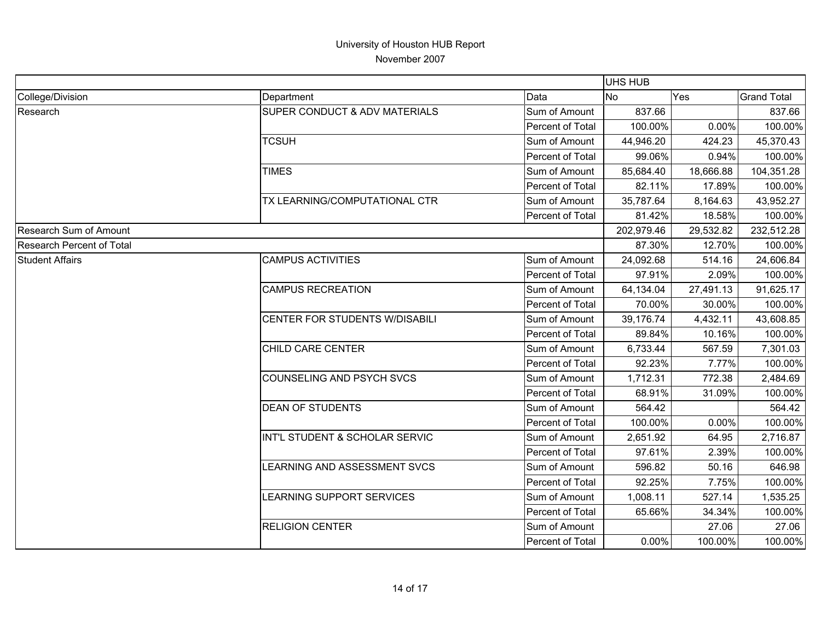|                                  |                                  |                  | UHS HUB    |           |                    |
|----------------------------------|----------------------------------|------------------|------------|-----------|--------------------|
| College/Division                 | Department                       | Data             | <b>No</b>  | Yes       | <b>Grand Total</b> |
| Research                         | SUPER CONDUCT & ADV MATERIALS    | Sum of Amount    | 837.66     |           | 837.66             |
|                                  |                                  | Percent of Total | 100.00%    | $0.00\%$  | 100.00%            |
|                                  | <b>TCSUH</b>                     | Sum of Amount    | 44,946.20  | 424.23    | 45,370.43          |
|                                  |                                  | Percent of Total | 99.06%     | 0.94%     | 100.00%            |
|                                  | <b>TIMES</b>                     | Sum of Amount    | 85,684.40  | 18,666.88 | 104,351.28         |
|                                  |                                  | Percent of Total | 82.11%     | 17.89%    | 100.00%            |
|                                  | TX LEARNING/COMPUTATIONAL CTR    | Sum of Amount    | 35,787.64  | 8,164.63  | 43,952.27          |
|                                  |                                  | Percent of Total | 81.42%     | 18.58%    | 100.00%            |
| <b>Research Sum of Amount</b>    |                                  |                  | 202,979.46 | 29,532.82 | 232,512.28         |
| <b>Research Percent of Total</b> |                                  |                  | 87.30%     | 12.70%    | 100.00%            |
| <b>Student Affairs</b>           | <b>CAMPUS ACTIVITIES</b>         | Sum of Amount    | 24,092.68  | 514.16    | 24,606.84          |
|                                  |                                  | Percent of Total | 97.91%     | 2.09%     | 100.00%            |
|                                  | <b>CAMPUS RECREATION</b>         | Sum of Amount    | 64,134.04  | 27,491.13 | 91,625.17          |
|                                  |                                  | Percent of Total | 70.00%     | 30.00%    | 100.00%            |
|                                  | CENTER FOR STUDENTS W/DISABILI   | Sum of Amount    | 39,176.74  | 4,432.11  | 43,608.85          |
|                                  |                                  | Percent of Total | 89.84%     | 10.16%    | 100.00%            |
|                                  | CHILD CARE CENTER                | Sum of Amount    | 6,733.44   | 567.59    | 7,301.03           |
|                                  |                                  | Percent of Total | 92.23%     | 7.77%     | 100.00%            |
|                                  | <b>COUNSELING AND PSYCH SVCS</b> | Sum of Amount    | 1,712.31   | 772.38    | 2,484.69           |
|                                  |                                  | Percent of Total | 68.91%     | 31.09%    | 100.00%            |
|                                  | <b>DEAN OF STUDENTS</b>          | Sum of Amount    | 564.42     |           | 564.42             |
|                                  |                                  | Percent of Total | 100.00%    | 0.00%     | 100.00%            |
|                                  | INT'L STUDENT & SCHOLAR SERVIC   | Sum of Amount    | 2,651.92   | 64.95     | 2,716.87           |
|                                  |                                  | Percent of Total | 97.61%     | 2.39%     | 100.00%            |
|                                  | LEARNING AND ASSESSMENT SVCS     | Sum of Amount    | 596.82     | 50.16     | 646.98             |
|                                  |                                  | Percent of Total | 92.25%     | 7.75%     | 100.00%            |
|                                  | LEARNING SUPPORT SERVICES        | Sum of Amount    | 1,008.11   | 527.14    | 1,535.25           |
|                                  |                                  | Percent of Total | 65.66%     | 34.34%    | 100.00%            |
|                                  | <b>RELIGION CENTER</b>           | Sum of Amount    |            | 27.06     | 27.06              |
|                                  |                                  | Percent of Total | 0.00%      | 100.00%   | 100.00%            |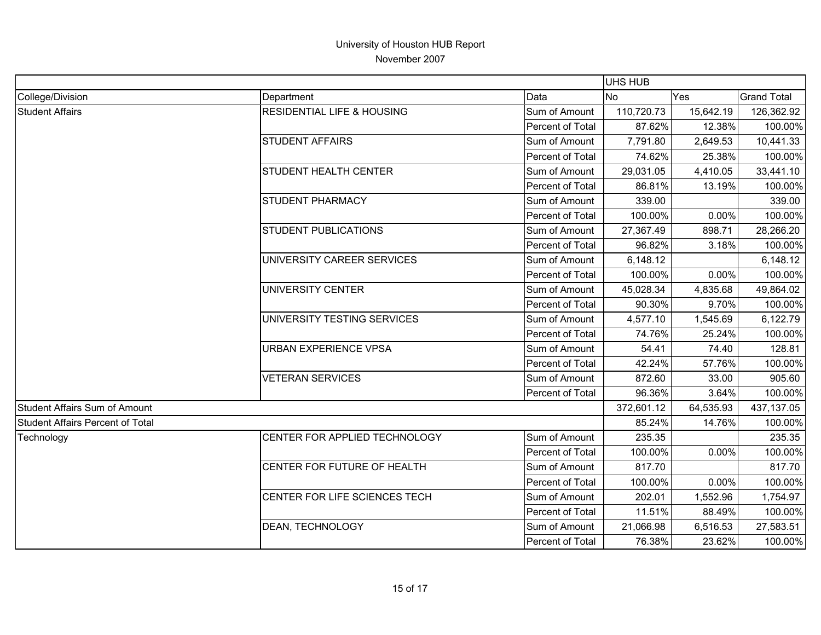|                                         |                                       |                  | UHS HUB    |           |                    |
|-----------------------------------------|---------------------------------------|------------------|------------|-----------|--------------------|
| College/Division                        | Department                            | Data             | <b>No</b>  | Yes       | <b>Grand Total</b> |
| <b>Student Affairs</b>                  | <b>RESIDENTIAL LIFE &amp; HOUSING</b> | Sum of Amount    | 110,720.73 | 15,642.19 | 126,362.92         |
|                                         |                                       | Percent of Total | 87.62%     | 12.38%    | 100.00%            |
|                                         | <b>STUDENT AFFAIRS</b>                | Sum of Amount    | 7,791.80   | 2,649.53  | 10,441.33          |
|                                         |                                       | Percent of Total | 74.62%     | 25.38%    | 100.00%            |
|                                         | <b>STUDENT HEALTH CENTER</b>          | Sum of Amount    | 29,031.05  | 4,410.05  | 33,441.10          |
|                                         |                                       | Percent of Total | 86.81%     | 13.19%    | 100.00%            |
|                                         | <b>STUDENT PHARMACY</b>               | Sum of Amount    | 339.00     |           | 339.00             |
|                                         |                                       | Percent of Total | 100.00%    | 0.00%     | 100.00%            |
|                                         | <b>STUDENT PUBLICATIONS</b>           | Sum of Amount    | 27,367.49  | 898.71    | 28,266.20          |
|                                         |                                       | Percent of Total | 96.82%     | 3.18%     | 100.00%            |
|                                         | UNIVERSITY CAREER SERVICES            | Sum of Amount    | 6,148.12   |           | 6,148.12           |
|                                         |                                       | Percent of Total | 100.00%    | 0.00%     | 100.00%            |
|                                         | UNIVERSITY CENTER                     | Sum of Amount    | 45,028.34  | 4,835.68  | 49,864.02          |
|                                         |                                       | Percent of Total | 90.30%     | 9.70%     | 100.00%            |
|                                         | UNIVERSITY TESTING SERVICES           | Sum of Amount    | 4,577.10   | 1,545.69  | 6,122.79           |
|                                         |                                       | Percent of Total | 74.76%     | 25.24%    | 100.00%            |
|                                         | <b>URBAN EXPERIENCE VPSA</b>          | Sum of Amount    | 54.41      | 74.40     | 128.81             |
|                                         |                                       | Percent of Total | 42.24%     | 57.76%    | 100.00%            |
|                                         | <b>VETERAN SERVICES</b>               | Sum of Amount    | 872.60     | 33.00     | 905.60             |
|                                         |                                       | Percent of Total | 96.36%     | 3.64%     | 100.00%            |
| <b>Student Affairs Sum of Amount</b>    |                                       |                  | 372,601.12 | 64,535.93 | 437,137.05         |
| <b>Student Affairs Percent of Total</b> |                                       |                  | 85.24%     | 14.76%    | 100.00%            |
| Technology                              | CENTER FOR APPLIED TECHNOLOGY         | Sum of Amount    | 235.35     |           | 235.35             |
|                                         |                                       | Percent of Total | 100.00%    | 0.00%     | 100.00%            |
|                                         | CENTER FOR FUTURE OF HEALTH           | Sum of Amount    | 817.70     |           | 817.70             |
|                                         |                                       | Percent of Total | 100.00%    | 0.00%     | 100.00%            |
|                                         | CENTER FOR LIFE SCIENCES TECH         | Sum of Amount    | 202.01     | 1,552.96  | 1,754.97           |
|                                         |                                       | Percent of Total | 11.51%     | 88.49%    | 100.00%            |
|                                         | <b>DEAN, TECHNOLOGY</b>               | Sum of Amount    | 21,066.98  | 6,516.53  | 27,583.51          |
|                                         |                                       | Percent of Total | 76.38%     | 23.62%    | 100.00%            |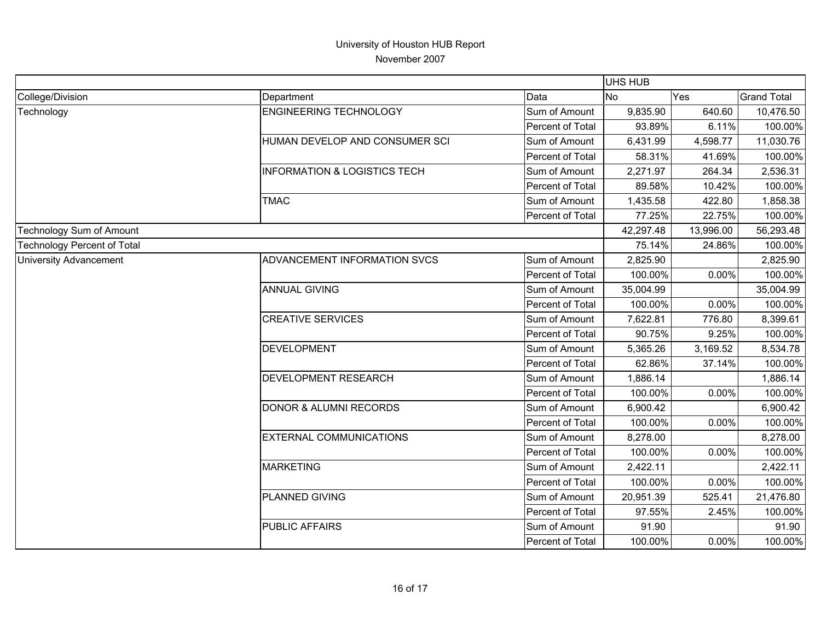|                                    |                                         |                  | UHS HUB   |           |                    |
|------------------------------------|-----------------------------------------|------------------|-----------|-----------|--------------------|
| College/Division                   | Department                              | Data             | <b>No</b> | Yes       | <b>Grand Total</b> |
| Technology                         | <b>ENGINEERING TECHNOLOGY</b>           | Sum of Amount    | 9,835.90  | 640.60    | 10,476.50          |
|                                    |                                         | Percent of Total | 93.89%    | 6.11%     | 100.00%            |
|                                    | HUMAN DEVELOP AND CONSUMER SCI          | Sum of Amount    | 6,431.99  | 4,598.77  | 11,030.76          |
|                                    |                                         | Percent of Total | 58.31%    | 41.69%    | 100.00%            |
|                                    | <b>INFORMATION &amp; LOGISTICS TECH</b> | Sum of Amount    | 2,271.97  | 264.34    | 2,536.31           |
|                                    |                                         | Percent of Total | 89.58%    | 10.42%    | 100.00%            |
|                                    | <b>TMAC</b>                             | Sum of Amount    | 1,435.58  | 422.80    | 1,858.38           |
|                                    |                                         | Percent of Total | 77.25%    | 22.75%    | 100.00%            |
| Technology Sum of Amount           |                                         |                  | 42,297.48 | 13,996.00 | 56,293.48          |
| <b>Technology Percent of Total</b> |                                         |                  | 75.14%    | 24.86%    | 100.00%            |
| <b>University Advancement</b>      | ADVANCEMENT INFORMATION SVCS            | Sum of Amount    | 2,825.90  |           | 2,825.90           |
|                                    |                                         | Percent of Total | 100.00%   | 0.00%     | 100.00%            |
|                                    | <b>ANNUAL GIVING</b>                    | Sum of Amount    | 35,004.99 |           | 35,004.99          |
|                                    |                                         | Percent of Total | 100.00%   | 0.00%     | 100.00%            |
|                                    | <b>CREATIVE SERVICES</b>                | Sum of Amount    | 7,622.81  | 776.80    | 8,399.61           |
|                                    |                                         | Percent of Total | 90.75%    | 9.25%     | 100.00%            |
|                                    | <b>DEVELOPMENT</b>                      | Sum of Amount    | 5,365.26  | 3,169.52  | 8,534.78           |
|                                    |                                         | Percent of Total | 62.86%    | 37.14%    | 100.00%            |
|                                    | <b>DEVELOPMENT RESEARCH</b>             | Sum of Amount    | 1,886.14  |           | 1,886.14           |
|                                    |                                         | Percent of Total | 100.00%   | 0.00%     | 100.00%            |
|                                    | <b>DONOR &amp; ALUMNI RECORDS</b>       | Sum of Amount    | 6,900.42  |           | 6,900.42           |
|                                    |                                         | Percent of Total | 100.00%   | 0.00%     | 100.00%            |
|                                    | <b>EXTERNAL COMMUNICATIONS</b>          | Sum of Amount    | 8,278.00  |           | 8,278.00           |
|                                    |                                         | Percent of Total | 100.00%   | 0.00%     | 100.00%            |
|                                    | <b>MARKETING</b>                        | Sum of Amount    | 2,422.11  |           | 2,422.11           |
|                                    |                                         | Percent of Total | 100.00%   | 0.00%     | 100.00%            |
|                                    | PLANNED GIVING                          | Sum of Amount    | 20,951.39 | 525.41    | 21,476.80          |
|                                    |                                         | Percent of Total | 97.55%    | 2.45%     | 100.00%            |
|                                    | <b>PUBLIC AFFAIRS</b>                   | Sum of Amount    | 91.90     |           | 91.90              |
|                                    |                                         | Percent of Total | 100.00%   | 0.00%     | 100.00%            |